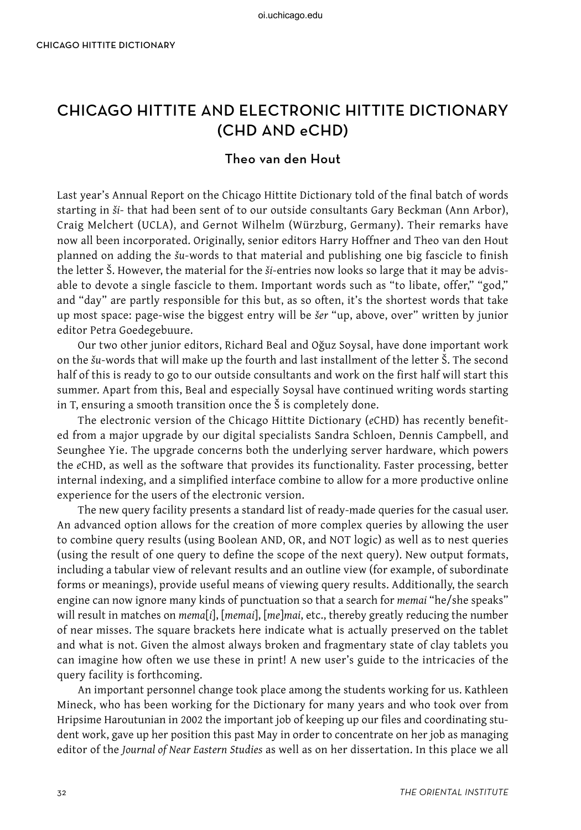## CHICAGO HITTITE AND ELECTRONIC HITTITE DICTIONARY (CHD AND eCHD)

## Theo van den Hout

Last year's Annual Report on the Chicago Hittite Dictionary told of the final batch of words starting in *ši*- that had been sent of to our outside consultants Gary Beckman (Ann Arbor), Craig Melchert (UCLA), and Gernot Wilhelm (Würzburg, Germany). Their remarks have now all been incorporated. Originally, senior editors Harry Hoffner and Theo van den Hout planned on adding the *šu*-words to that material and publishing one big fascicle to finish the letter Š. However, the material for the *ši*-entries now looks so large that it may be advisable to devote a single fascicle to them. Important words such as "to libate, offer," "god," and "day" are partly responsible for this but, as so often, it's the shortest words that take up most space: page-wise the biggest entry will be *šer* "up, above, over" written by junior editor Petra Goedegebuure.

Our two other junior editors, Richard Beal and Oğuz Soysal, have done important work on the *šu*-words that will make up the fourth and last installment of the letter Š. The second half of this is ready to go to our outside consultants and work on the first half will start this summer. Apart from this, Beal and especially Soysal have continued writing words starting in T, ensuring a smooth transition once the Š is completely done.

The electronic version of the Chicago Hittite Dictionary (*e*CHD) has recently benefited from a major upgrade by our digital specialists Sandra Schloen, Dennis Campbell, and Seunghee Yie. The upgrade concerns both the underlying server hardware, which powers the *e*CHD, as well as the software that provides its functionality. Faster processing, better internal indexing, and a simplified interface combine to allow for a more productive online experience for the users of the electronic version.

The new query facility presents a standard list of ready-made queries for the casual user. An advanced option allows for the creation of more complex queries by allowing the user to combine query results (using Boolean AND, OR, and NOT logic) as well as to nest queries (using the result of one query to define the scope of the next query). New output formats, including a tabular view of relevant results and an outline view (for example, of subordinate forms or meanings), provide useful means of viewing query results. Additionally, the search engine can now ignore many kinds of punctuation so that a search for *memai* "he/she speaks" will result in matches on *mema*[*i*], [*memai*], [*me*]*mai*, etc., thereby greatly reducing the number of near misses. The square brackets here indicate what is actually preserved on the tablet and what is not. Given the almost always broken and fragmentary state of clay tablets you can imagine how often we use these in print! A new user's guide to the intricacies of the query facility is forthcoming.

An important personnel change took place among the students working for us. Kathleen Mineck, who has been working for the Dictionary for many years and who took over from Hripsime Haroutunian in 2002 the important job of keeping up our files and coordinating student work, gave up her position this past May in order to concentrate on her job as managing editor of the *Journal of Near Eastern Studies* as well as on her dissertation. In this place we all